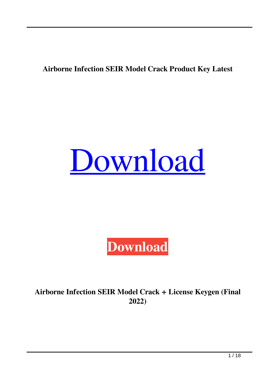### **Airborne Infection SEIR Model Crack Product Key Latest**





**Airborne Infection SEIR Model Crack + License Keygen (Final 2022)**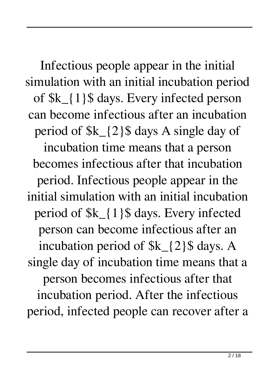Infectious people appear in the initial simulation with an initial incubation period of \$k\_{1}\$ days. Every infected person can become infectious after an incubation period of \$k\_{2}\$ days A single day of incubation time means that a person becomes infectious after that incubation period. Infectious people appear in the initial simulation with an initial incubation period of \$k\_{1}\$ days. Every infected person can become infectious after an incubation period of  $k_{2}$  {2} \$ days. A single day of incubation time means that a person becomes infectious after that incubation period. After the infectious period, infected people can recover after a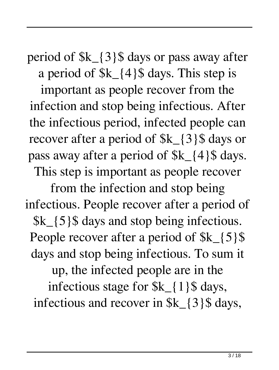period of \$k\_{3}\$ days or pass away after a period of  $k_{4}$  {4}\$ days. This step is

important as people recover from the infection and stop being infectious. After the infectious period, infected people can recover after a period of  $k_{3}$  {3} days or pass away after a period of  $k_{4}$  {4}\$ days. This step is important as people recover

from the infection and stop being infectious. People recover after a period of \$k\_{5}\$ days and stop being infectious. People recover after a period of  $k_{5}$  {5}\$ days and stop being infectious. To sum it up, the infected people are in the infectious stage for \$k\_{1}\$ days, infectious and recover in \$k\_{3}\$ days,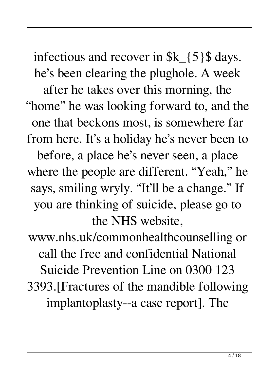infectious and recover in  $k_{5}$  {5} days. he's been clearing the plughole. A week after he takes over this morning, the "home" he was looking forward to, and the one that beckons most, is somewhere far from here. It's a holiday he's never been to before, a place he's never seen, a place where the people are different. "Yeah," he says, smiling wryly. "It'll be a change." If you are thinking of suicide, please go to the NHS website,

www.nhs.uk/commonhealthcounselling or call the free and confidential National Suicide Prevention Line on 0300 123 3393.[Fractures of the mandible following implantoplasty--a case report]. The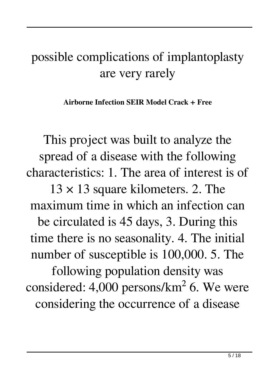## possible complications of implantoplasty are very rarely

**Airborne Infection SEIR Model Crack + Free**

This project was built to analyze the spread of a disease with the following characteristics: 1. The area of interest is of

 $13 \times 13$  square kilometers. 2. The maximum time in which an infection can be circulated is 45 days, 3. During this time there is no seasonality. 4. The initial number of susceptible is 100,000. 5. The following population density was considered: 4,000 persons/km<sup>2</sup> 6. We were considering the occurrence of a disease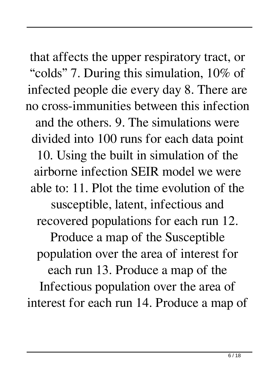that affects the upper respiratory tract, or "colds" 7. During this simulation, 10% of infected people die every day 8. There are no cross-immunities between this infection and the others. 9. The simulations were divided into 100 runs for each data point 10. Using the built in simulation of the airborne infection SEIR model we were able to: 11. Plot the time evolution of the susceptible, latent, infectious and recovered populations for each run 12. Produce a map of the Susceptible population over the area of interest for each run 13. Produce a map of the Infectious population over the area of interest for each run 14. Produce a map of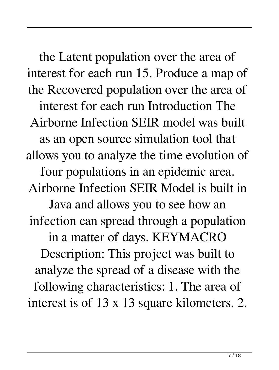the Latent population over the area of interest for each run 15. Produce a map of the Recovered population over the area of interest for each run Introduction The Airborne Infection SEIR model was built as an open source simulation tool that allows you to analyze the time evolution of four populations in an epidemic area. Airborne Infection SEIR Model is built in Java and allows you to see how an infection can spread through a population in a matter of days. KEYMACRO Description: This project was built to analyze the spread of a disease with the following characteristics: 1. The area of interest is of 13 x 13 square kilometers. 2.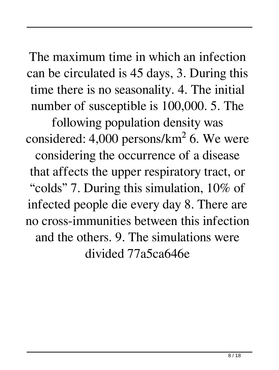The maximum time in which an infection can be circulated is 45 days, 3. During this time there is no seasonality. 4. The initial number of susceptible is 100,000. 5. The

following population density was considered: 4,000 persons/ $km^2$  6. We were considering the occurrence of a disease that affects the upper respiratory tract, or "colds" 7. During this simulation, 10% of infected people die every day 8. There are no cross-immunities between this infection and the others. 9. The simulations were divided 77a5ca646e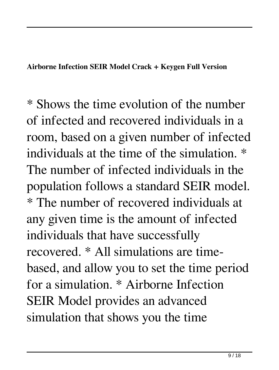### **Airborne Infection SEIR Model Crack + Keygen Full Version**

\* Shows the time evolution of the number of infected and recovered individuals in a room, based on a given number of infected individuals at the time of the simulation. \* The number of infected individuals in the population follows a standard SEIR model. \* The number of recovered individuals at any given time is the amount of infected individuals that have successfully recovered. \* All simulations are timebased, and allow you to set the time period for a simulation. \* Airborne Infection SEIR Model provides an advanced simulation that shows you the time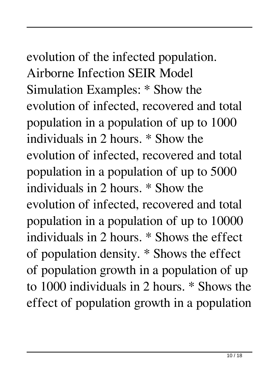# evolution of the infected population.

Airborne Infection SEIR Model Simulation Examples: \* Show the evolution of infected, recovered and total population in a population of up to 1000 individuals in 2 hours. \* Show the evolution of infected, recovered and total population in a population of up to 5000 individuals in 2 hours. \* Show the evolution of infected, recovered and total population in a population of up to 10000 individuals in 2 hours. \* Shows the effect of population density. \* Shows the effect of population growth in a population of up to 1000 individuals in 2 hours. \* Shows the effect of population growth in a population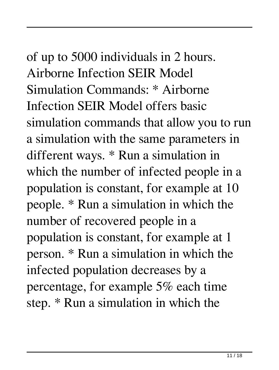of up to 5000 individuals in 2 hours. Airborne Infection SEIR Model Simulation Commands: \* Airborne Infection SEIR Model offers basic simulation commands that allow you to run a simulation with the same parameters in different ways. \* Run a simulation in which the number of infected people in a population is constant, for example at 10 people. \* Run a simulation in which the number of recovered people in a population is constant, for example at 1 person. \* Run a simulation in which the infected population decreases by a

percentage, for example 5% each time step. \* Run a simulation in which the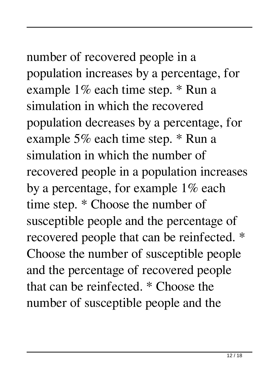number of recovered people in a population increases by a percentage, for example 1% each time step. \* Run a simulation in which the recovered population decreases by a percentage, for example 5% each time step. \* Run a simulation in which the number of recovered people in a population increases by a percentage, for example 1% each time step. \* Choose the number of susceptible people and the percentage of recovered people that can be reinfected. \* Choose the number of susceptible people and the percentage of recovered people that can be reinfected. \* Choose the number of susceptible people and the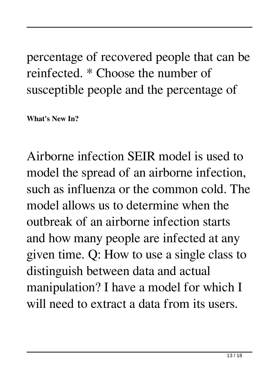percentage of recovered people that can be reinfected. \* Choose the number of susceptible people and the percentage of

**What's New In?**

Airborne infection SEIR model is used to model the spread of an airborne infection, such as influenza or the common cold. The model allows us to determine when the outbreak of an airborne infection starts and how many people are infected at any given time. Q: How to use a single class to distinguish between data and actual manipulation? I have a model for which I will need to extract a data from its users.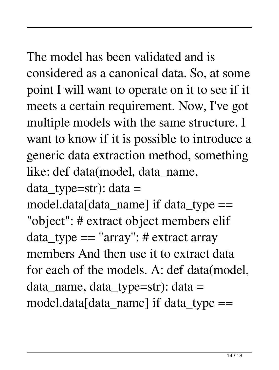The model has been validated and is considered as a canonical data. So, at some point I will want to operate on it to see if it meets a certain requirement. Now, I've got multiple models with the same structure. I want to know if it is possible to introduce a generic data extraction method, something

like: def data(model, data\_name,

 $data_type=str$ : data =

model.data[data\_name] if data\_type  $==$ "object": # extract object members elif data\_type == "array": # extract array members And then use it to extract data for each of the models. A: def data(model, data\_name, data\_type=str): data = model.data[data\_name] if data\_type  $==$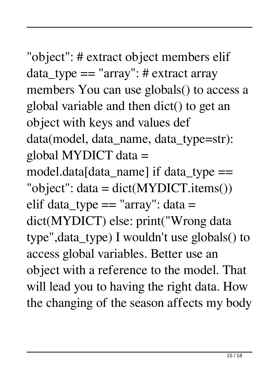"object": # extract object members elif data\_type == "array": # extract array members You can use globals() to access a global variable and then dict() to get an object with keys and values def data(model, data\_name, data\_type=str): global MYDICT data = model.data[data\_name] if data\_type  $==$ "object": data = dict(MYDICT.items()) elif data\_type  $==$  "array": data  $=$ dict(MYDICT) else: print("Wrong data type",data\_type) I wouldn't use globals() to access global variables. Better use an object with a reference to the model. That will lead you to having the right data. How the changing of the season affects my body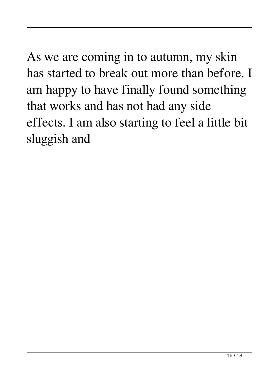As we are coming in to autumn, my skin has started to break out more than before. I am happy to have finally found something that works and has not had any side effects. I am also starting to feel a little bit sluggish and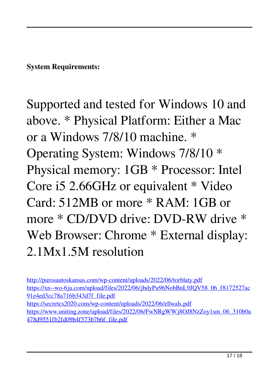**System Requirements:**

Supported and tested for Windows 10 and above. \* Physical Platform: Either a Mac or a Windows 7/8/10 machine. \* Operating System: Windows 7/8/10 \* Physical memory: 1GB \* Processor: Intel Core i5 2.66GHz or equivalent \* Video Card: 512MB or more \* RAM: 1GB or more \* CD/DVD drive: DVD-RW drive \* Web Browser: Chrome  $*$  External display: 2.1Mx1.5M resolution

<http://purosautoskansas.com/wp-content/uploads/2022/06/torblaty.pdf> [https://xn--wo-6ja.com/upload/files/2022/06/jbdyPu96NobBnL9JQV58\\_06\\_f8172527ac](https://xn--wo-6ja.com/upload/files/2022/06/jbdyPu96NobBnL9JQV58_06_f8172527ac91e4ed3cc78a716b343d7f_file.pdf) [91e4ed3cc78a716b343d7f\\_file.pdf](https://xn--wo-6ja.com/upload/files/2022/06/jbdyPu96NobBnL9JQV58_06_f8172527ac91e4ed3cc78a716b343d7f_file.pdf) <https://secretcs2020.com/wp-content/uploads/2022/06/ellwals.pdf> [https://www.uniting.zone/upload/files/2022/06/FwNRgWWj8OJ8NzZoy1sm\\_06\\_310b0a](https://www.uniting.zone/upload/files/2022/06/FwNRgWWj8OJ8NzZoy1sm_06_310b0a478d9551fb2fd09b4f573b7b6f_file.pdf) [478d9551fb2fd09b4f573b7b6f\\_file.pdf](https://www.uniting.zone/upload/files/2022/06/FwNRgWWj8OJ8NzZoy1sm_06_310b0a478d9551fb2fd09b4f573b7b6f_file.pdf)